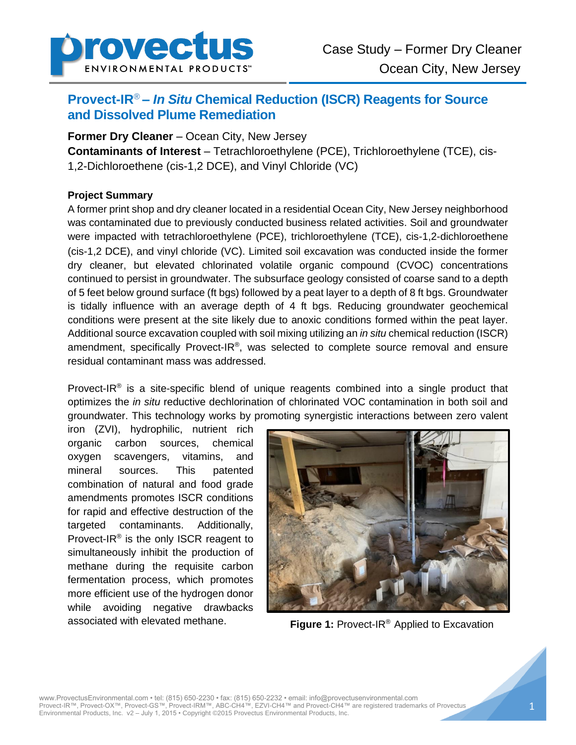

# **Provect-IR**® **–** *In Situ* **Chemical Reduction (ISCR) Reagents for Source and Dissolved Plume Remediation**

**Former Dry Cleaner** – Ocean City, New Jersey

**Contaminants of Interest** – Tetrachloroethylene (PCE), Trichloroethylene (TCE), cis-1,2-Dichloroethene (cis-1,2 DCE), and Vinyl Chloride (VC)

## **Project Summary**

A former print shop and dry cleaner located in a residential Ocean City, New Jersey neighborhood was contaminated due to previously conducted business related activities. Soil and groundwater were impacted with tetrachloroethylene (PCE), trichloroethylene (TCE), cis-1,2-dichloroethene (cis-1,2 DCE), and vinyl chloride (VC). Limited soil excavation was conducted inside the former dry cleaner, but elevated chlorinated volatile organic compound (CVOC) concentrations continued to persist in groundwater. The subsurface geology consisted of coarse sand to a depth of 5 feet below ground surface (ft bgs) followed by a peat layer to a depth of 8 ft bgs. Groundwater is tidally influence with an average depth of 4 ft bgs. Reducing groundwater geochemical conditions were present at the site likely due to anoxic conditions formed within the peat layer. Additional source excavation coupled with soil mixing utilizing an *in situ* chemical reduction (ISCR) amendment, specifically Provect-IR®, was selected to complete source removal and ensure residual contaminant mass was addressed.

Provect-IR<sup>®</sup> is a site-specific blend of unique reagents combined into a single product that optimizes the *in situ* reductive dechlorination of chlorinated VOC contamination in both soil and groundwater. This technology works by promoting synergistic interactions between zero valent

iron (ZVI), hydrophilic, nutrient rich organic carbon sources, chemical oxygen scavengers, vitamins, and mineral sources. This patented combination of natural and food grade amendments promotes ISCR conditions for rapid and effective destruction of the targeted contaminants. Additionally, Provect-IR<sup>®</sup> is the only ISCR reagent to simultaneously inhibit the production of methane during the requisite carbon fermentation process, which promotes more efficient use of the hydrogen donor while avoiding negative drawbacks associated with elevated methane. **Figure 1:** Provect-IR® Applied to Excavation

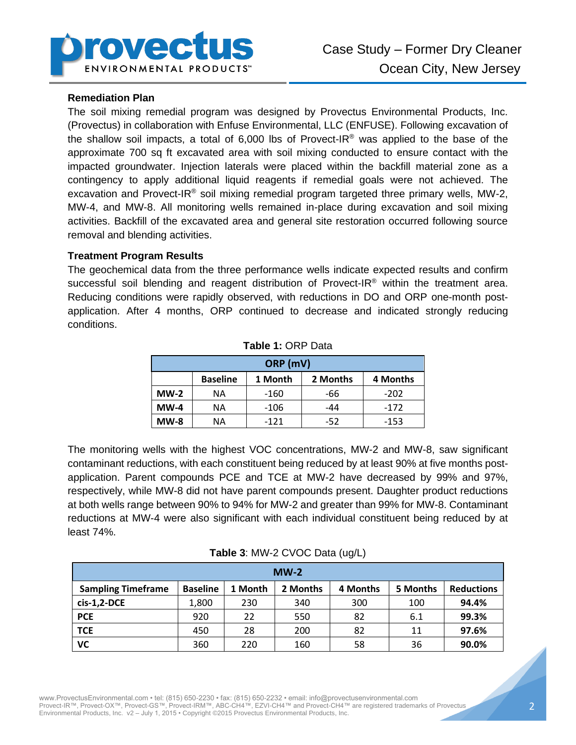

#### **Remediation Plan**

The soil mixing remedial program was designed by Provectus Environmental Products, Inc. (Provectus) in collaboration with Enfuse Environmental, LLC (ENFUSE). Following excavation of the shallow soil impacts, a total of 6,000 lbs of Provect-IR<sup>®</sup> was applied to the base of the approximate 700 sq ft excavated area with soil mixing conducted to ensure contact with the impacted groundwater. Injection laterals were placed within the backfill material zone as a contingency to apply additional liquid reagents if remedial goals were not achieved. The excavation and Provect-IR<sup>®</sup> soil mixing remedial program targeted three primary wells, MW-2, MW-4, and MW-8. All monitoring wells remained in-place during excavation and soil mixing activities. Backfill of the excavated area and general site restoration occurred following source removal and blending activities.

#### **Treatment Program Results**

The geochemical data from the three performance wells indicate expected results and confirm successful soil blending and reagent distribution of Provect-IR<sup>®</sup> within the treatment area. Reducing conditions were rapidly observed, with reductions in DO and ORP one-month postapplication. After 4 months, ORP continued to decrease and indicated strongly reducing conditions.

| ORP (mV) |                 |         |          |          |  |  |  |
|----------|-----------------|---------|----------|----------|--|--|--|
|          | <b>Baseline</b> | 1 Month | 2 Months | 4 Months |  |  |  |
| $MW-2$   | ΝA              | -160    | -66      | $-202$   |  |  |  |
| $MW-4$   | ΝA              | -106    | $-44$    | $-172$   |  |  |  |
| $MW-8$   | NА              | $-121$  | $-52$    | $-153$   |  |  |  |

**Table 1:** ORP Data

The monitoring wells with the highest VOC concentrations, MW-2 and MW-8, saw significant contaminant reductions, with each constituent being reduced by at least 90% at five months postapplication. Parent compounds PCE and TCE at MW-2 have decreased by 99% and 97%, respectively, while MW-8 did not have parent compounds present. Daughter product reductions at both wells range between 90% to 94% for MW-2 and greater than 99% for MW-8. Contaminant reductions at MW-4 were also significant with each individual constituent being reduced by at least 74%.

| $MW-2$                    |                 |         |          |          |          |                   |  |  |
|---------------------------|-----------------|---------|----------|----------|----------|-------------------|--|--|
| <b>Sampling Timeframe</b> | <b>Baseline</b> | 1 Month | 2 Months | 4 Months | 5 Months | <b>Reductions</b> |  |  |
| $cis-1,2-DCE$             | 1,800           | 230     | 340      | 300      | 100      | 94.4%             |  |  |
| <b>PCE</b>                | 920             | 22      | 550      | 82       | 6.1      | 99.3%             |  |  |
| <b>TCE</b>                | 450             | 28      | 200      | 82       | 11       | 97.6%             |  |  |
| VC                        | 360             | 220     | 160      | 58       | 36       | 90.0%             |  |  |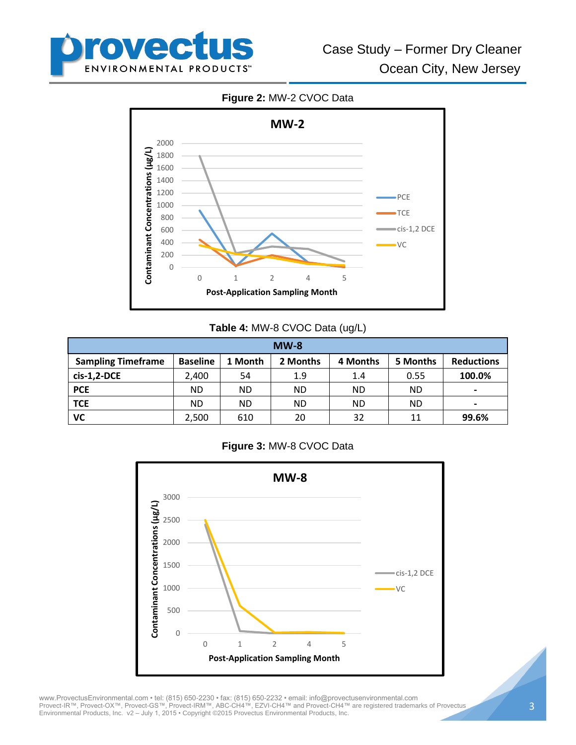

**Figure 2:** MW-2 CVOC Data



## **Table 4:** MW-8 CVOC Data (ug/L)

| $MW-8$                    |                 |           |          |          |           |                   |  |
|---------------------------|-----------------|-----------|----------|----------|-----------|-------------------|--|
| <b>Sampling Timeframe</b> | <b>Baseline</b> | 1 Month   | 2 Months | 4 Months | 5 Months  | <b>Reductions</b> |  |
| $cis-1,2-DCE$             | 2.400           | 54        | 1.9      | 1.4      | 0.55      | 100.0%            |  |
| <b>PCE</b>                | ND.             | <b>ND</b> | ND.      | ND       | <b>ND</b> | $\,$              |  |
| <b>TCE</b>                | ND.             | <b>ND</b> | ND.      | ND       | <b>ND</b> | $\,$              |  |
| VC                        | 2,500           | 610       | 20       | 32       | 11        | 99.6%             |  |

### **Figure 3:** MW-8 CVOC Data



www.ProvectusEnvironmental.com • tel: (815) 650-2230 • fax: (815) 650-2232 • email: info@provectusenvironmental.com Provect-IR™, Provect-OX™, Provect-GS™, Provect-IRM™, ABC-CH4™, EZVI-CH4™ and Provect-CH4™ are registered trademarks of Provectus Environmental Products, Inc. v2 – July 1, 2015 • Copyright ©2015 Provectus Environmental Products, Inc.